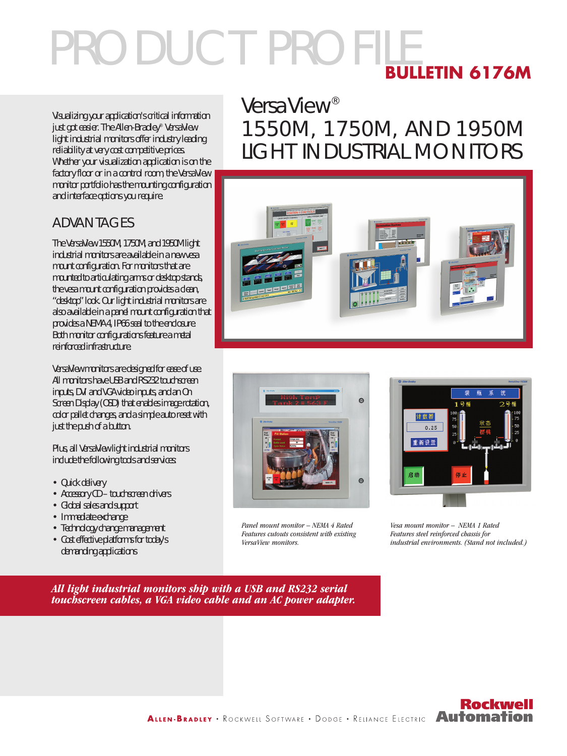# PRODUCT PROFILE **BULLETIN 6176M**

Visualizing your application's critical information just got easier. The Allen-Bradley® VersaView light industrial monitors offer industry leading reliability at very cost competitive prices. Whether your visualization application is on the factory floor or in a control room, the VersaView monitor portfolio has the mounting configuration and interface options you require.

#### ADVANTAGES

The VersaView 1550M, 1750M, and 1950M light industrial monitors are available in a new vesa mount configuration. For monitors that are mounted to articulating arms or desktop stands, the vesa mount configuration provides a clean, "desktop" look. Our light industrial monitors are also available in a panel mount configuration that provides a NEMA 4, IP66 seal to the enclosure. Both monitor configurations feature a metal reinforced infrastructure.

VersaView monitors are designed for ease of use. All monitors have USB and RS232 touchscreen inputs, DVI and VGA video inputs, and an On Screen Display (OSD) that enables image rotation, color pallet changes, and a simple auto reset with just the push of a button.

Plus, all VersaView light industrial monitors include the following tools and services:

- Quick delivery
- Accessory CD touchscreen drivers
- Global sales and support
- Immediate exchange
- Technology change management
- Cost effective platforms for today's demanding applications

## **VersaView®** 1550M, 1750M, AND 1950M LIGHT INDUSTRIAL MONITORS





Panel mount monitor – NEMA 4 Rated Features cutouts consistent with existing VersaView monitors.



Vesa mount monitor – NEMA 1 Rated Features steel reinforced chassis for industrial environments. (Stand not included.)

All light industrial monitors ship with a USB and RS232 serial touchscreen cables, a VGA video cable and an AC power adapter.